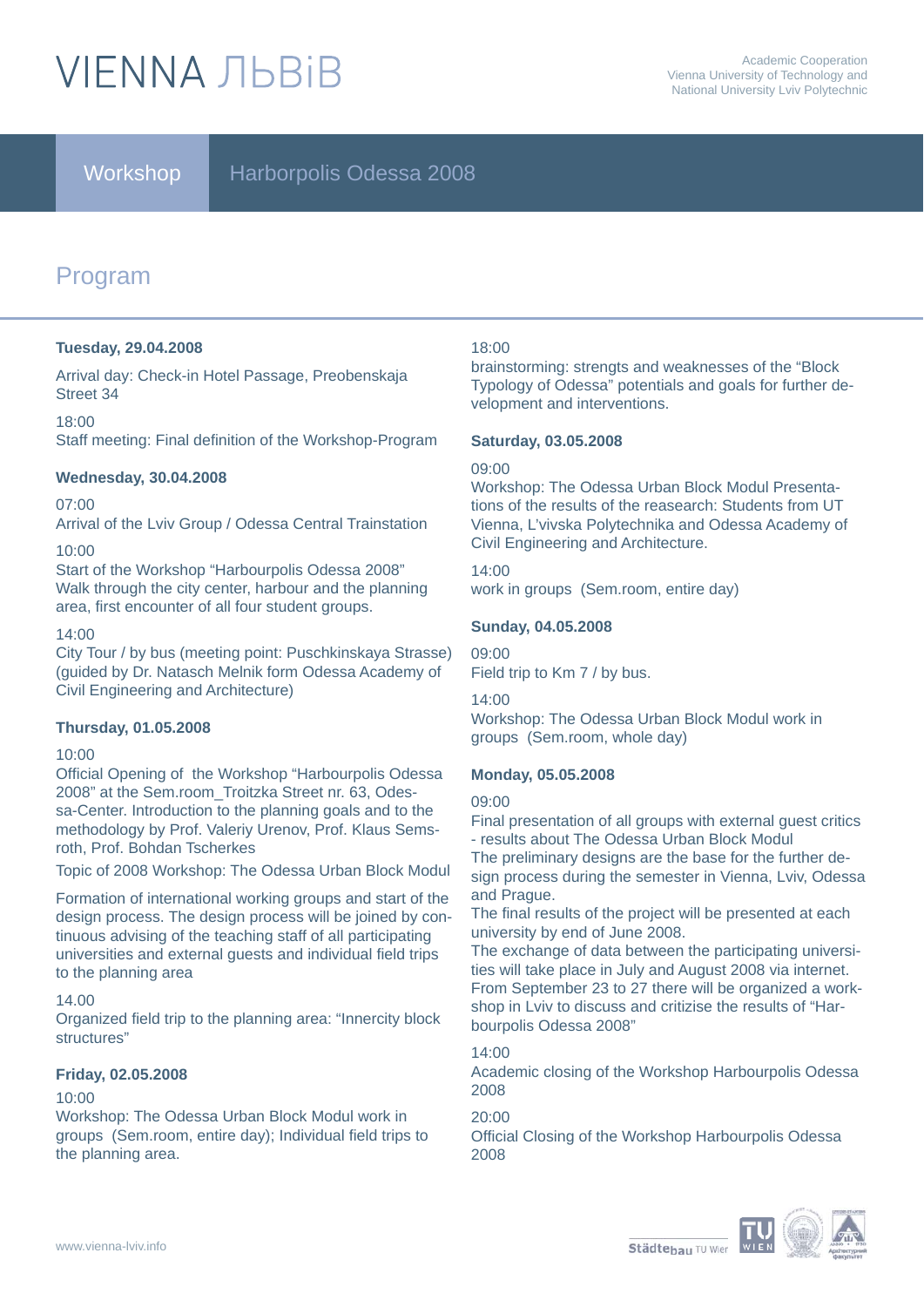# **VIFNNA JIBRIB**

# Workshop Harborpolis Odessa 2008

# Program

#### **Tuesday, 29.04.2008**

Arrival day: Check-in Hotel Passage, Preobenskaja Street 34

#### 18:00

Staff meeting: Final definition of the Workshop-Program

#### **Wednesday, 30.04.2008**

#### 07:00

Arrival of the Lviv Group / Odessa Central Trainstation

#### 10:00

Start of the Workshop "Harbourpolis Odessa 2008" Walk through the city center, harbour and the planning area, first encounter of all four student groups.

#### 14:00

City Tour / by bus (meeting point: Puschkinskaya Strasse) (guided by Dr. Natasch Melnik form Odessa Academy of Civil Engineering and Architecture)

#### **Thursday, 01.05.2008**

#### 10:00

Official Opening of the Workshop "Harbourpolis Odessa 2008" at the Sem.room\_Troitzka Street nr. 63, Odessa-Center. Introduction to the planning goals and to the methodology by Prof. Valeriy Urenov, Prof. Klaus Semsroth, Prof. Bohdan Tscherkes

Topic of 2008 Workshop: The Odessa Urban Block Modul

Formation of international working groups and start of the design process. The design process will be joined by continuous advising of the teaching staff of all participating universities and external guests and individual field trips to the planning area

#### 14.00

Organized field trip to the planning area: "Innercity block structures"

#### **Friday, 02.05.2008**

#### 10:00

Workshop: The Odessa Urban Block Modul work in groups (Sem.room, entire day); Individual field trips to the planning area.

#### 18:00

brainstorming: strengts and weaknesses of the "Block Typology of Odessa" potentials and goals for further development and interventions.

#### **Saturday, 03.05.2008**

#### 09:00

Workshop: The Odessa Urban Block Modul Presentations of the results of the reasearch: Students from UT Vienna, L'vivska Polytechnika and Odessa Academy of Civil Engineering and Architecture.

#### 14:00

work in groups (Sem.room, entire day)

#### **Sunday, 04.05.2008**

09:00

Field trip to Km 7 / by bus.

14:00

Workshop: The Odessa Urban Block Modul work in groups (Sem.room, whole day)

#### **Monday, 05.05.2008**

#### 09:00

Final presentation of all groups with external guest critics - results about The Odessa Urban Block Modul The preliminary designs are the base for the further design process during the semester in Vienna, Lviv, Odessa

and Prague. The final results of the project will be presented at each university by end of June 2008.

The exchange of data between the participating universities will take place in July and August 2008 via internet. From September 23 to 27 there will be organized a workshop in Lviv to discuss and critizise the results of "Harbourpolis Odessa 2008"

14:00

Academic closing of the Workshop Harbourpolis Odessa 2008

#### 20:00

Official Closing of the Workshop Harbourpolis Odessa 2008